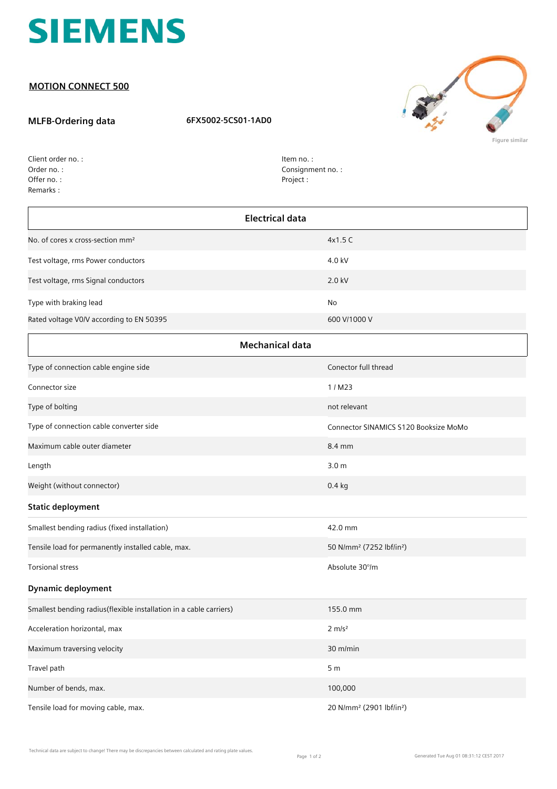

## **MOTION CONNECT 500**

## **MLFB-Ordering data 6FX5002-5CS01-1AD0**



| Client order no.: |
|-------------------|
| Order no.:        |
| Offer no.:        |
| Remarks:          |

Item no. : Consignment no. : Project :

| Electrical data                              |              |  |
|----------------------------------------------|--------------|--|
| No. of cores x cross-section mm <sup>2</sup> | 4x1.5C       |  |
| Test voltage, rms Power conductors           | 4.0 kV       |  |
| Test voltage, rms Signal conductors          | 2.0 kV       |  |
| Type with braking lead                       | <b>No</b>    |  |
| Rated voltage V0/V according to EN 50395     | 600 V/1000 V |  |
|                                              |              |  |

| <b>Mechanical data</b>                                             |                                                  |  |
|--------------------------------------------------------------------|--------------------------------------------------|--|
| Type of connection cable engine side                               | Conector full thread                             |  |
| Connector size                                                     | 1/M23                                            |  |
| Type of bolting                                                    | not relevant                                     |  |
| Type of connection cable converter side                            | Connector SINAMICS S120 Booksize MoMo            |  |
| Maximum cable outer diameter                                       | 8.4 mm                                           |  |
| Length                                                             | 3.0 <sub>m</sub>                                 |  |
| Weight (without connector)                                         | $0.4$ kg                                         |  |
| <b>Static deployment</b>                                           |                                                  |  |
| Smallest bending radius (fixed installation)                       | 42.0 mm                                          |  |
| Tensile load for permanently installed cable, max.                 | 50 N/mm <sup>2</sup> (7252 lbf/in <sup>2</sup> ) |  |
| <b>Torsional stress</b>                                            | Absolute 30°/m                                   |  |
| <b>Dynamic deployment</b>                                          |                                                  |  |
| Smallest bending radius(flexible installation in a cable carriers) | 155.0 mm                                         |  |
| Acceleration horizontal, max                                       | $2 \, \text{m/s}^2$                              |  |
| Maximum traversing velocity                                        | 30 m/min                                         |  |
| Travel path                                                        | 5 <sub>m</sub>                                   |  |
| Number of bends, max.                                              | 100,000                                          |  |
| Tensile load for moving cable, max.                                | 20 N/mm <sup>2</sup> (2901 lbf/in <sup>2</sup> ) |  |